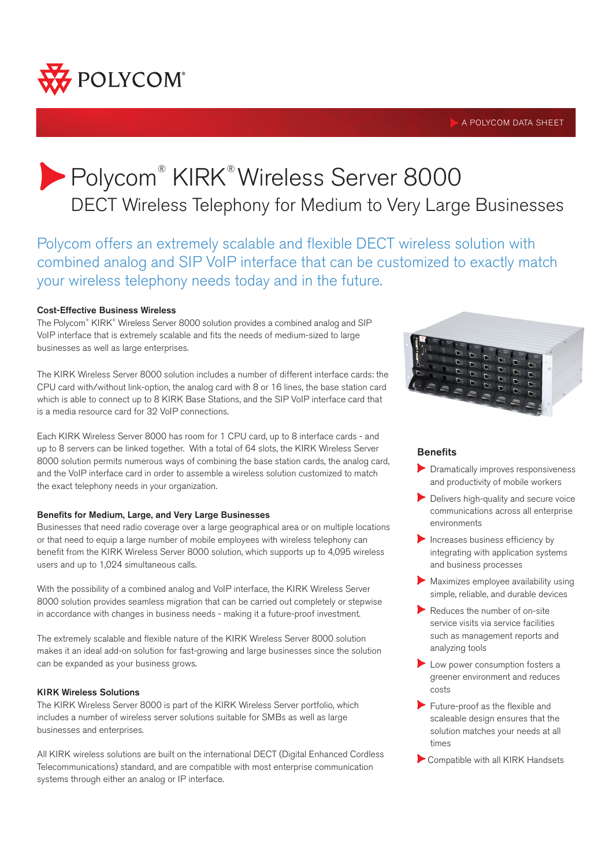

#### A POLYCOM DATA SHEET

# Polycom® KIRK® Wireless Server 8000 DECT Wireless Telephony for Medium to Very Large Businesses

Polycom offers an extremely scalable and flexible DECT wireless solution with combined analog and SIP VoIP interface that can be customized to exactly match your wireless telephony needs today and in the future.

#### Cost-Effective Business Wireless

The Polycom® KIRK® Wireless Server 8000 solution provides a combined analog and SIP VoIP interface that is extremely scalable and fits the needs of medium-sized to large businesses as well as large enterprises.

The KIRK Wireless Server 8000 solution includes a number of different interface cards: the CPU card with/without link-option, the analog card with 8 or 16 lines, the base station card which is able to connect up to 8 KIRK Base Stations, and the SIP VoIP interface card that is a media resource card for 32 VoIP connections.

Each KIRK Wireless Server 8000 has room for 1 CPU card, up to 8 interface cards - and up to 8 servers can be linked together. With a total of 64 slots, the KIRK Wireless Server 8000 solution permits numerous ways of combining the base station cards, the analog card, and the VoIP interface card in order to assemble a wireless solution customized to match the exact telephony needs in your organization.

#### Benefits for Medium, Large, and Very Large Businesses

Businesses that need radio coverage over a large geographical area or on multiple locations or that need to equip a large number of mobile employees with wireless telephony can benefit from the KIRK Wireless Server 8000 solution, which supports up to 4,095 wireless users and up to 1,024 simultaneous calls.

With the possibility of a combined analog and VoIP interface, the KIRK Wireless Server 8000 solution provides seamless migration that can be carried out completely or stepwise in accordance with changes in business needs - making it a future-proof investment.

The extremely scalable and flexible nature of the KIRK Wireless Server 8000 solution makes it an ideal add-on solution for fast-growing and large businesses since the solution can be expanded as your business grows.

#### KIRK Wireless Solutions

The KIRK Wireless Server 8000 is part of the KIRK Wireless Server portfolio, which includes a number of wireless server solutions suitable for SMBs as well as large businesses and enterprises.

All KIRK wireless solutions are built on the international DECT (Digital Enhanced Cordless Telecommunications) standard, and are compatible with most enterprise communication systems through either an analog or IP interface.



### **Benefits**

- **Dramatically improves responsiveness** and productivity of mobile workers
- Delivers high-quality and secure voice communications across all enterprise environments
- $\blacktriangleright$  Increases business efficiency by integrating with application systems and business processes
- Maximizes employee availability using simple, reliable, and durable devices
- Reduces the number of on-site service visits via service facilities such as management reports and analyzing tools
- Low power consumption fosters a greener environment and reduces costs
- Future-proof as the flexible and scaleable design ensures that the solution matches your needs at all times
- Compatible with all KIRK Handsets